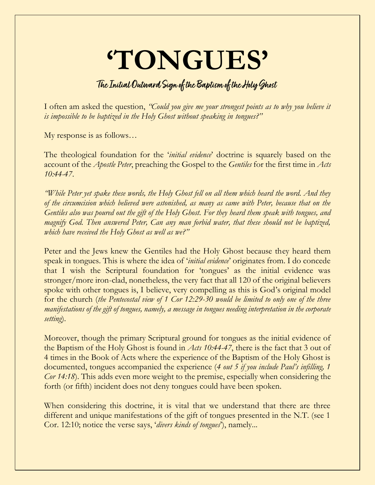## **'TONGUES'**

## **The Initial Outward Sign of the Baptism of the Holy Ghost**

I often am asked the question, *"Could you give me your strongest points as to why you believe it is impossible to be baptized in the Holy Ghost without speaking in tongues?*"

My response is as follows…

The theological foundation for the '*initial evidence*' doctrine is squarely based on the account of the *Apostle Peter*, preaching the Gospel to the *Gentiles* for the first time in *Acts 10:44-47*.

*"While Peter yet spake these words, the Holy Ghost fell on all them which heard the word. And they of the circumcision which believed were astonished, as many as came with Peter, because that on the Gentiles also was poured out the gift of the Holy Ghost. For they heard them speak with tongues, and magnify God. Then answered Peter, Can any man forbid water, that these should not be baptized, which have received the Holy Ghost as well as we?"*

Peter and the Jews knew the Gentiles had the Holy Ghost because they heard them speak in tongues. This is where the idea of '*initial evidence*' originates from. I do concede that I wish the Scriptural foundation for 'tongues' as the initial evidence was stronger/more iron-clad, nonetheless, the very fact that all 120 of the original believers spoke with other tongues is, I believe, very compelling as this is God's original model for the church (*the Pentecostal view of 1 Cor 12:29-30 would be limited to only one of the three manifestations of the gift of tongues, namely, a message in tongues needing interpretation in the corporate setting*).

Moreover, though the primary Scriptural ground for tongues as the initial evidence of the Baptism of the Holy Ghost is found in *Acts 10:44-47*, there is the fact that 3 out of 4 times in the Book of Acts where the experience of the Baptism of the Holy Ghost is documented, tongues accompanied the experience (*4 out 5 if you include Paul's infilling, 1 Cor 14:18*). This adds even more weight to the premise, especially when considering the forth (or fifth) incident does not deny tongues could have been spoken.

When considering this doctrine, it is vital that we understand that there are three different and unique manifestations of the gift of tongues presented in the N.T. (see 1) Cor. 12:10; notice the verse says, '*divers kinds of tongues*'), namely...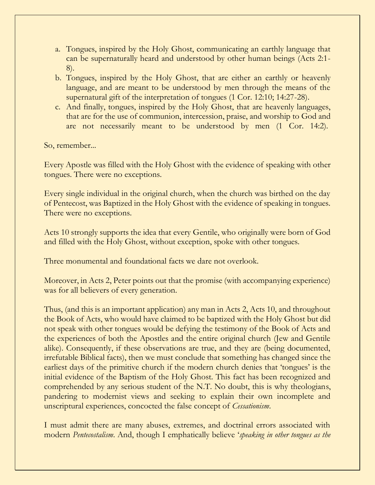- a. Tongues, inspired by the Holy Ghost, communicating an earthly language that can be supernaturally heard and understood by other human beings (Acts 2:1- 8).
- b. Tongues, inspired by the Holy Ghost, that are either an earthly or heavenly language, and are meant to be understood by men through the means of the supernatural gift of the interpretation of tongues (1 Cor. 12:10; 14:27-28).
- c. And finally, tongues, inspired by the Holy Ghost, that are heavenly languages, that are for the use of communion, intercession, praise, and worship to God and are not necessarily meant to be understood by men (1 Cor. 14:2).

So, remember...

Every Apostle was filled with the Holy Ghost with the evidence of speaking with other tongues. There were no exceptions.

Every single individual in the original church, when the church was birthed on the day of Pentecost, was Baptized in the Holy Ghost with the evidence of speaking in tongues. There were no exceptions.

Acts 10 strongly supports the idea that every Gentile, who originally were born of God and filled with the Holy Ghost, without exception, spoke with other tongues.

Three monumental and foundational facts we dare not overlook.

Moreover, in Acts 2, Peter points out that the promise (with accompanying experience) was for all believers of every generation.

Thus, (and this is an important application) any man in Acts 2, Acts 10, and throughout the Book of Acts, who would have claimed to be baptized with the Holy Ghost but did not speak with other tongues would be defying the testimony of the Book of Acts and the experiences of both the Apostles and the entire original church (Jew and Gentile alike). Consequently, if these observations are true, and they are (being documented, irrefutable Biblical facts), then we must conclude that something has changed since the earliest days of the primitive church if the modern church denies that 'tongues' is the initial evidence of the Baptism of the Holy Ghost. This fact has been recognized and comprehended by any serious student of the N.T. No doubt, this is why theologians, pandering to modernist views and seeking to explain their own incomplete and unscriptural experiences, concocted the false concept of *Cessationism*.

I must admit there are many abuses, extremes, and doctrinal errors associated with modern *Pentecostalism*. And, though I emphatically believe '*speaking in other tongues as the*